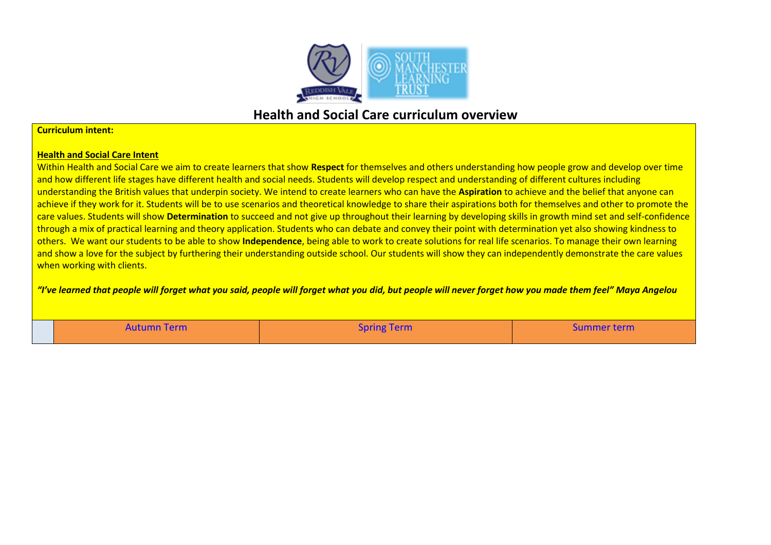

## **Health and Social Care curriculum overview**

## **Curriculum intent:**

## **Health and Social Care Intent**

Within Health and Social Care we aim to create learners that show **Respect** for themselves and others understanding how people grow and develop over time and how different life stages have different health and social needs. Students will develop respect and understanding of different cultures including understanding the British values that underpin society. We intend to create learners who can have the **Aspiration** to achieve and the belief that anyone can achieve if they work for it. Students will be to use scenarios and theoretical knowledge to share their aspirations both for themselves and other to promote the care values. Students will show **Determination** to succeed and not give up throughout their learning by developing skills in growth mind set and self-confidence through a mix of practical learning and theory application. Students who can debate and convey their point with determination yet also showing kindness to others. We want our students to be able to show **Independence**, being able to work to create solutions for real life scenarios. To manage their own learning and show a love for the subject by furthering their understanding outside school. Our students will show they can independently demonstrate the care values when working with clients.

*"I've learned that people will forget what you said, people will forget what you did, but people will never forget how you made them feel" Maya Angelou*

| Autumn Term | <b>Spring Term</b> | <b>Summer term</b> |
|-------------|--------------------|--------------------|
|             |                    |                    |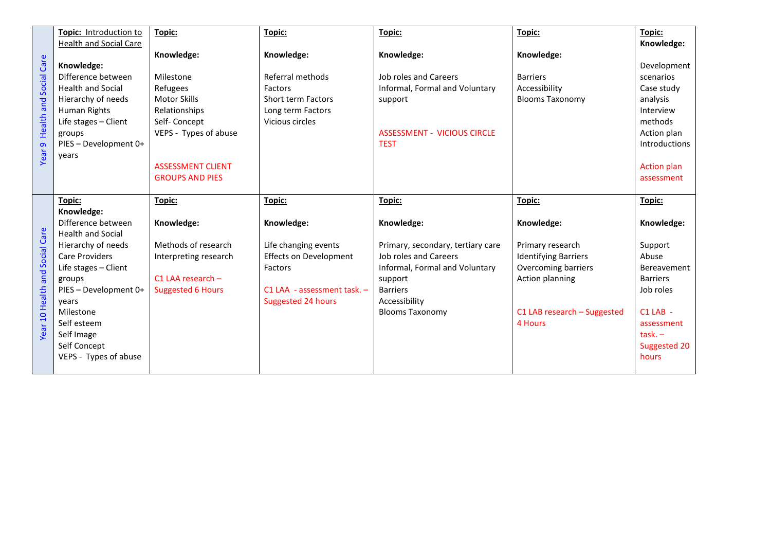|                                             | Topic: Introduction to<br>Health and Social Care                                                                                                                                                                                                                             | Topic:                                                                                                                                                                     | Topic:                                                                                                                                            | Topic:                                                                                                                                                                                        | Topic:                                                                                                                                                          | Topic:<br>Knowledge:                                                                                                                                           |
|---------------------------------------------|------------------------------------------------------------------------------------------------------------------------------------------------------------------------------------------------------------------------------------------------------------------------------|----------------------------------------------------------------------------------------------------------------------------------------------------------------------------|---------------------------------------------------------------------------------------------------------------------------------------------------|-----------------------------------------------------------------------------------------------------------------------------------------------------------------------------------------------|-----------------------------------------------------------------------------------------------------------------------------------------------------------------|----------------------------------------------------------------------------------------------------------------------------------------------------------------|
| Health and Social Care<br>Year <sub>9</sub> | Knowledge:<br>Difference between<br><b>Health and Social</b><br>Hierarchy of needs<br>Human Rights<br>Life stages - Client<br>groups<br>PIES - Development 0+<br>years                                                                                                       | Knowledge:<br>Milestone<br>Refugees<br><b>Motor Skills</b><br>Relationships<br>Self-Concept<br>VEPS - Types of abuse<br><b>ASSESSMENT CLIENT</b><br><b>GROUPS AND PIES</b> | Knowledge:<br>Referral methods<br>Factors<br>Short term Factors<br>Long term Factors<br>Vicious circles                                           | Knowledge:<br>Job roles and Careers<br>Informal, Formal and Voluntary<br>support<br><b>ASSESSMENT - VICIOUS CIRCLE</b><br><b>TEST</b>                                                         | Knowledge:<br><b>Barriers</b><br>Accessibility<br><b>Blooms Taxonomy</b>                                                                                        | Development<br>scenarios<br>Case study<br>analysis<br>Interview<br>methods<br>Action plan<br><b>Introductions</b><br><b>Action plan</b><br>assessment          |
| Year 10 Health and Social Care              | Topic:<br>Knowledge:<br>Difference between<br><b>Health and Social</b><br>Hierarchy of needs<br><b>Care Providers</b><br>Life stages - Client<br>groups<br>PIES - Development 0+<br>years<br>Milestone<br>Self esteem<br>Self Image<br>Self Concept<br>VEPS - Types of abuse | Topic:<br>Knowledge:<br>Methods of research<br>Interpreting research<br>$C1$ LAA research $-$<br><b>Suggested 6 Hours</b>                                                  | Topic:<br>Knowledge:<br>Life changing events<br><b>Effects on Development</b><br>Factors<br>$C1$ LAA - assessment task. $-$<br>Suggested 24 hours | Topic:<br>Knowledge:<br>Primary, secondary, tertiary care<br>Job roles and Careers<br>Informal, Formal and Voluntary<br>support<br><b>Barriers</b><br>Accessibility<br><b>Blooms Taxonomy</b> | Topic:<br>Knowledge:<br>Primary research<br><b>Identifying Barriers</b><br>Overcoming barriers<br>Action planning<br>$C1$ LAB research $-$ Suggested<br>4 Hours | Topic:<br>Knowledge:<br>Support<br>Abuse<br><b>Bereavement</b><br><b>Barriers</b><br>Job roles<br>C1 LAB -<br>assessment<br>$task. -$<br>Suggested 20<br>hours |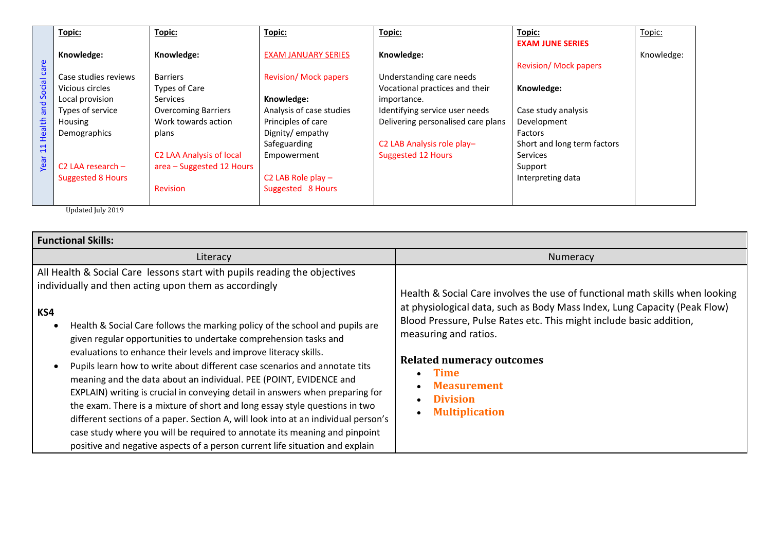|                                            | Topic:                          | Topic:                     | Topic:                       | Topic:                             | Topic:                       | Topic:     |
|--------------------------------------------|---------------------------------|----------------------------|------------------------------|------------------------------------|------------------------------|------------|
| and Social care<br>Health<br>$\Xi$<br>Year |                                 |                            |                              |                                    | <b>EXAM JUNE SERIES</b>      |            |
|                                            | Knowledge:                      | Knowledge:                 | <b>EXAM JANUARY SERIES</b>   | Knowledge:                         |                              | Knowledge: |
|                                            |                                 |                            |                              |                                    | <b>Revision/ Mock papers</b> |            |
|                                            | Case studies reviews            | <b>Barriers</b>            | <b>Revision/ Mock papers</b> | Understanding care needs           |                              |            |
|                                            | Vicious circles                 | Types of Care              |                              | Vocational practices and their     | Knowledge:                   |            |
|                                            | Local provision                 | <b>Services</b>            | Knowledge:                   | importance.                        |                              |            |
|                                            | Types of service                | <b>Overcoming Barriers</b> | Analysis of case studies     | Identifying service user needs     | Case study analysis          |            |
|                                            | Housing                         | Work towards action        | Principles of care           | Delivering personalised care plans | Development                  |            |
|                                            | Demographics                    | plans                      | Dignity/empathy              |                                    | Factors                      |            |
|                                            |                                 |                            | Safeguarding                 | C2 LAB Analysis role play-         | Short and long term factors  |            |
|                                            |                                 | C2 LAA Analysis of local   | Empowerment                  | <b>Suggested 12 Hours</b>          | <b>Services</b>              |            |
|                                            | C <sub>2</sub> LAA research $-$ | area - Suggested 12 Hours  |                              |                                    | Support                      |            |
|                                            | <b>Suggested 8 Hours</b>        |                            | C2 LAB Role play $-$         |                                    | Interpreting data            |            |
|                                            |                                 | <b>Revision</b>            | Suggested 8 Hours            |                                    |                              |            |
|                                            |                                 |                            |                              |                                    |                              |            |

Updated July 2019

| <b>Functional Skills:</b>                                                                                                                                                                                                                                                                                                                                                                                                                                                                                                                                                                                                                                                                                                                                                                                                                                                                                                                 |                                                                                                                                                                                                                                                                                                                                                                                |  |  |  |
|-------------------------------------------------------------------------------------------------------------------------------------------------------------------------------------------------------------------------------------------------------------------------------------------------------------------------------------------------------------------------------------------------------------------------------------------------------------------------------------------------------------------------------------------------------------------------------------------------------------------------------------------------------------------------------------------------------------------------------------------------------------------------------------------------------------------------------------------------------------------------------------------------------------------------------------------|--------------------------------------------------------------------------------------------------------------------------------------------------------------------------------------------------------------------------------------------------------------------------------------------------------------------------------------------------------------------------------|--|--|--|
| Literacy                                                                                                                                                                                                                                                                                                                                                                                                                                                                                                                                                                                                                                                                                                                                                                                                                                                                                                                                  | Numeracy                                                                                                                                                                                                                                                                                                                                                                       |  |  |  |
| All Health & Social Care lessons start with pupils reading the objectives<br>individually and then acting upon them as accordingly<br>KS4<br>Health & Social Care follows the marking policy of the school and pupils are<br>given regular opportunities to undertake comprehension tasks and<br>evaluations to enhance their levels and improve literacy skills.<br>Pupils learn how to write about different case scenarios and annotate tits<br>meaning and the data about an individual. PEE (POINT, EVIDENCE and<br>EXPLAIN) writing is crucial in conveying detail in answers when preparing for<br>the exam. There is a mixture of short and long essay style questions in two<br>different sections of a paper. Section A, will look into at an individual person's<br>case study where you will be required to annotate its meaning and pinpoint<br>positive and negative aspects of a person current life situation and explain | Health & Social Care involves the use of functional math skills when looking<br>at physiological data, such as Body Mass Index, Lung Capacity (Peak Flow)<br>Blood Pressure, Pulse Rates etc. This might include basic addition,<br>measuring and ratios.<br><b>Related numeracy outcomes</b><br><b>Time</b><br><b>Measurement</b><br><b>Division</b><br><b>Multiplication</b> |  |  |  |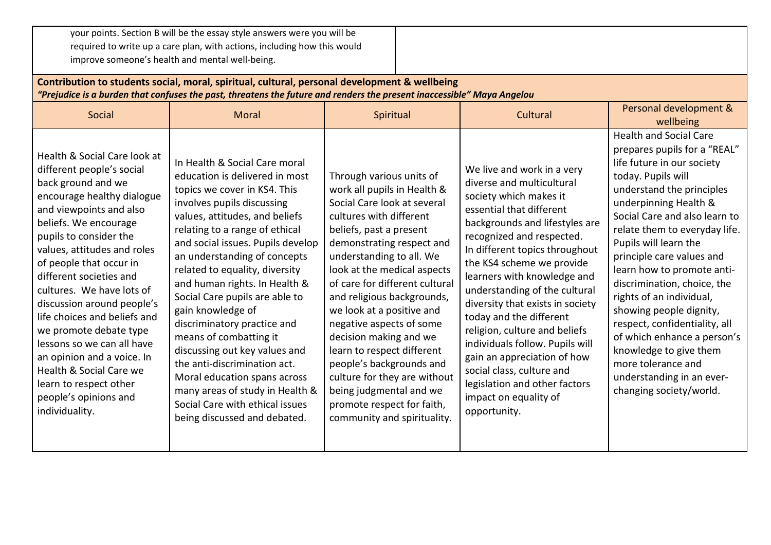your points. Section B will be the essay style answers were you will be required to write up a care plan, with actions, including how this would improve someone's health and mental well-being. **Contribution to students social, moral, spiritual, cultural, personal development & wellbeing** *"Prejudice is a burden that confuses the past, threatens the future and renders the present inaccessible" Maya Angelou* Social Moral Moral Spiritual Spiritual Cultural Personal development & wellbeing Health & Social Care look at different people's social back ground and we encourage healthy dialogue and viewpoints and also beliefs. We encourage pupils to consider the values, attitudes and roles of people that occur in different societies and cultures. We have lots of discussion around people's life choices and beliefs and we promote debate type lessons so we can all have an opinion and a voice. In Health & Social Care we learn to respect other people's opinions and individuality. In Health & Social Care moral education is delivered in most topics we cover in KS4. This involves pupils discussing values, attitudes, and beliefs relating to a range of ethical and social issues. Pupils develop an understanding of concepts related to equality, diversity and human rights. In Health & Social Care pupils are able to gain knowledge of discriminatory practice and means of combatting it discussing out key values and the anti-discrimination act. Moral education spans across many areas of study in Health & Social Care with ethical issues being discussed and debated. Through various units of work all pupils in Health & Social Care look at several cultures with different beliefs, past a present demonstrating respect and understanding to all. We look at the medical aspects of care for different cultural and religious backgrounds, we look at a positive and negative aspects of some decision making and we learn to respect different people's backgrounds and culture for they are without being judgmental and we promote respect for faith, community and spirituality. We live and work in a very diverse and multicultural society which makes it essential that different backgrounds and lifestyles are recognized and respected. In different topics throughout the KS4 scheme we provide learners with knowledge and understanding of the cultural diversity that exists in society today and the different religion, culture and beliefs individuals follow. Pupils will gain an appreciation of how social class, culture and legislation and other factors impact on equality of opportunity. Health and Social Care prepares pupils for a "REAL" life future in our society today. Pupils will understand the principles underpinning Health & Social Care and also learn to relate them to everyday life. Pupils will learn the principle care values and learn how to promote antidiscrimination, choice, the rights of an individual, showing people dignity, respect, confidentiality, all of which enhance a person's knowledge to give them more tolerance and understanding in an everchanging society/world.